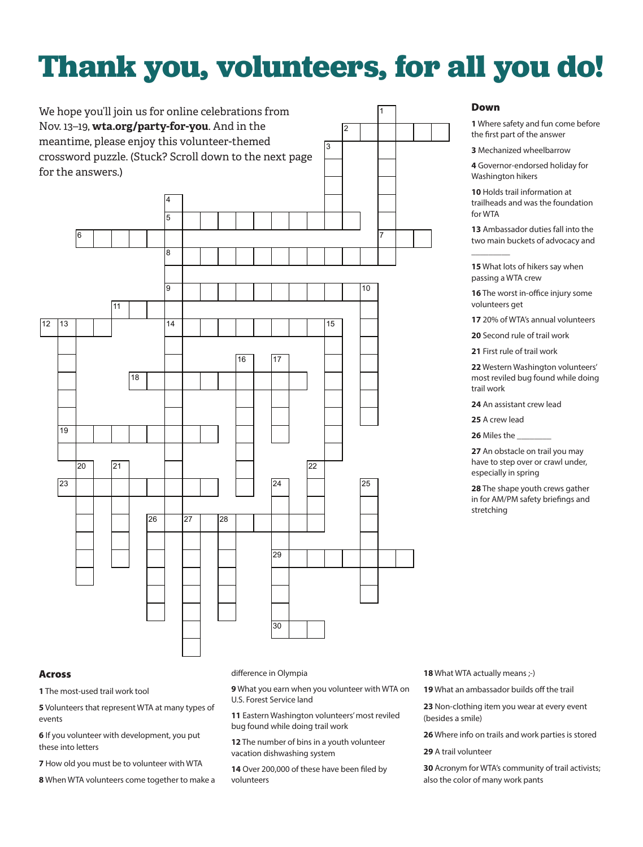## **Thank you, volunteers, for all you do!**



## Down

**1** Where safety and fun come before the first part of the answer

**3** Mechanized wheelbarrow

**4** Governor-endorsed holiday for Washington hikers

**10** Holds trail information at trailheads and was the foundation for WTA

**13** Ambassador duties fall into the two main buckets of advocacy and  $\overline{\phantom{a}}$ 

**15** What lots of hikers say when passing a WTA crew

**16** The worst in-office injury some volunteers get

**17** 20% of WTA's annual volunteers

**20** Second rule of trail work

**21** First rule of trail work

**22** Western Washington volunteers' most reviled bug found while doing trail work

**24** An assistant crew lead

**25** A crew lead

**26** Miles the

**27** An obstacle on trail you may have to step over or crawl under, especially in spring

**28** The shape youth crews gather in for AM/PM safety briefings and stretching

## Across

2 the most-used trail work tool **1** The most-used trail work tool

**5** Volunteers that represent WTA at many types of events

**6** If you volunteer with development, you put these into letters

**7** How old you must be to volunteer with WTA

**8** When WTA volunteers come together to make a

difference in Olympia

**9** What you earn when you volunteer with WTA on **19** What an amba U.S. Forest Service land

11 Eastern Washington volunteers' most reviled bug found while doing trail work

**12** The number of bins in a youth volunteer ra me nameer or sms m a you.

**14** Over 200,000 of these have been filed by volunteers

- **18** What WTA actually means ;-)
- **19** What an ambassador builds off the trail

**23** Non-clothing item you wear at every event (besides a smile)

- **26** Where info on trails and work parties is stored
- **29** A trail volunteer

**30** Acronym for WTA's community of trail activists; also the color of many work pants